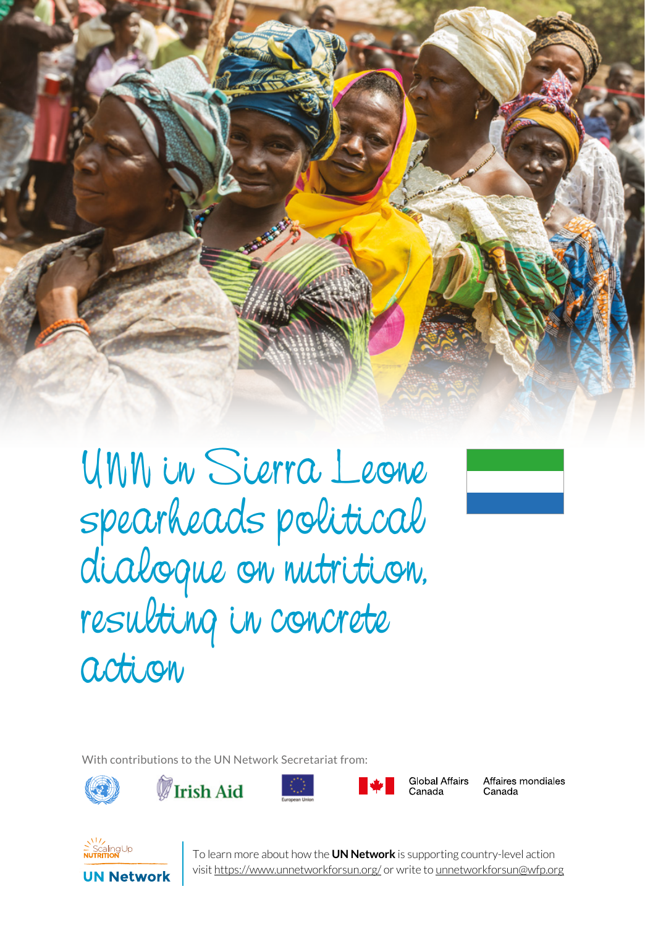

UNN in Sierra Leone spearheads political dialogue on nutrition, resulting in concrete action



With contributions to the UN Network Secretariat from:









**Global Affairs** Canada

Affaires mondiales



To learn more about how the **UN Network** is supporting country-level action<br>visit <u>https://www.unnetworkforsun.org/</u> or write to <u>unnetworkforsun@wfp.org</u> To learn more about how the **UN Network** is supporting country-level action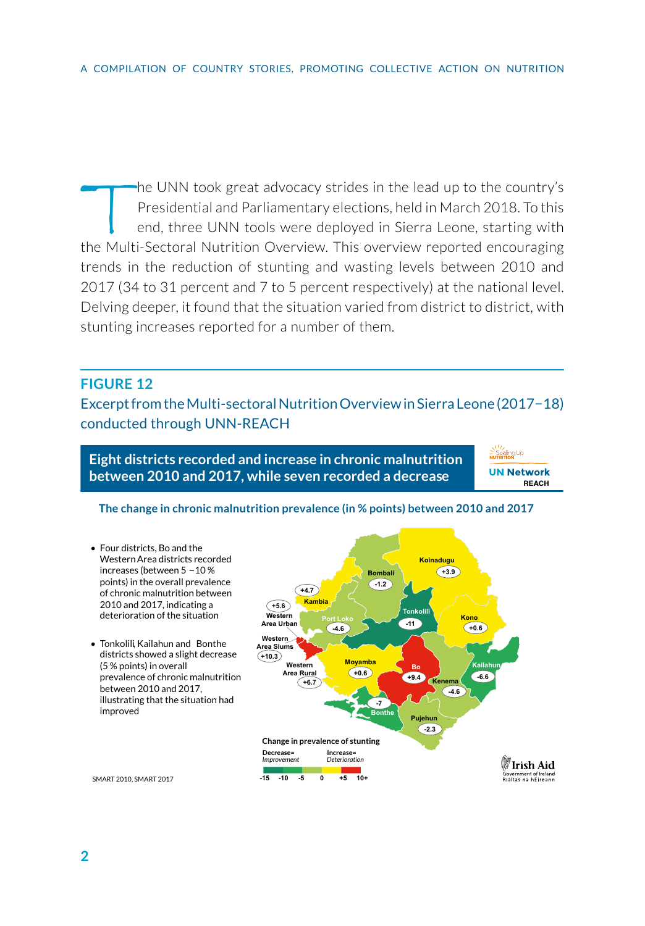the UNN took great advocacy strides in the lead up to the country's Presidential and Parliamentary elections, held in March 2018. To this end, three UNN tools were deployed in Sierra Leone, starting with the Multi-Sectoral Nutrition Overview. This overview reported encouraging trends in the reduction of stunting and wasting levels between 2010 and 2017 (34 to 31 percent and 7 to 5 percent respectively) at the national level. Delving deeper, it found that the situation varied from district to district, with stunting increases reported for a number of them.

## **FIGURE 12**

Excerpt from the Multi-sectoral Nutrition Overview in Sierra Leone (2017−18) conducted through UNN-REACH

**Eight districts recorded and increase in chronic malnutrition between 2010 and 2017, while seven recorded a decrease** 

**NIV**<br>ScalingUp<br>NUTRITION

## **The change in chronic malnutrition prevalence (in % points) between 2010 and 2017**

• Four districts, Bo and the Western Area districts recorded **Koinadugu**  increases (between  $5 - 10 \%$  $+3.9$ **Bombali**  points) in the overall prevalence **+4.7 -1.2**  of chronic malnutrition between 2010 and 2017, indicating a  $(15.6)$ **Kambia Tonkolili**  deterioration of the situation **Western Kono Port Loko Area Urb -11 +0.6 -4.6 Western**  • Tonkolili, Kailahun and Bonthe **Area Slums** districts showed a slight decrease **+10.3 Movamba** (5 % points) in overall **Western Kailahun Bo Area Rural +0.6**  prevalence of chronic malnutrition **+9.4 -6.6 Kenema +6.7**  between 2010 and 2017, **-4.6**  illustrating that the situation had **-7**  improved **Pujehun -2.3 Change in prevalence of stunting Decrease=**  *Improvement* **Increase=**  *Deterioration* #Irish Aid Government of Irelan<br>Rialtas na hÉirean **-15 -10 -5 0 +5 10+**  SMART 2010, SMART 2017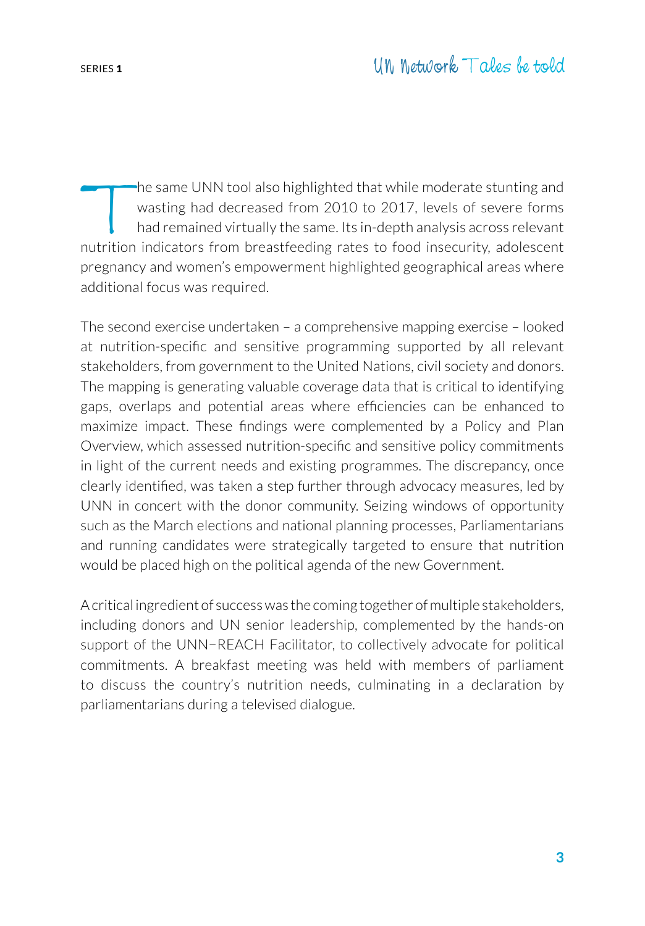The same UNN tool also highlighted that while moderate stunting and<br>wasting had decreased from 2010 to 2017, levels of severe forms<br>had remained virtually the same. Its in-depth analysis across relevant<br>nutrition indicator wasting had decreased from 2010 to 2017, levels of severe forms had remained virtually the same. Its in-depth analysis across relevant nutrition indicators from breastfeeding rates to food insecurity, adolescent pregnancy and women's empowerment highlighted geographical areas where additional focus was required.

The second exercise undertaken – a comprehensive mapping exercise – looked at nutrition-specific and sensitive programming supported by all relevant stakeholders, from government to the United Nations, civil society and donors. The mapping is generating valuable coverage data that is critical to identifying gaps, overlaps and potential areas where efficiencies can be enhanced to maximize impact. These findings were complemented by a Policy and Plan Overview, which assessed nutrition-specific and sensitive policy commitments in light of the current needs and existing programmes. The discrepancy, once clearly identified, was taken a step further through advocacy measures, led by UNN in concert with the donor community. Seizing windows of opportunity such as the March elections and national planning processes, Parliamentarians and running candidates were strategically targeted to ensure that nutrition would be placed high on the political agenda of the new Government.

A critical ingredient of success was the coming together of multiple stakeholders, including donors and UN senior leadership, complemented by the hands-on support of the UNN−REACH Facilitator, to collectively advocate for political commitments. A breakfast meeting was held with members of parliament to discuss the country's nutrition needs, culminating in a declaration by parliamentarians during a televised dialogue.